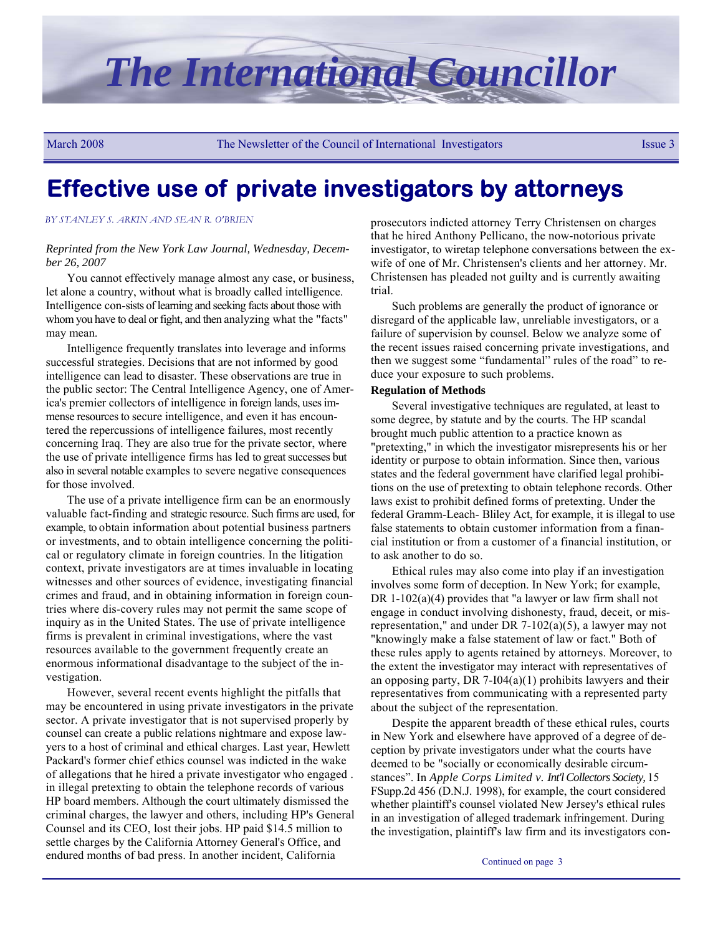

March 2008 The Newsletter of the Council of International Investigators Issue 3

# **Effective use of private investigators by attorneys**

#### *BY STANLEY S. ARKIN AND SEAN R. O'BRIEN*

#### *Reprinted from the New York Law Journal, Wednesday, December 26, 2007*

You cannot effectively manage almost any case, or business, let alone a country, without what is broadly called intelligence. Intelligence con-sists of learning and seeking facts about those with whom you have to deal or fight, and then analyzing what the "facts" may mean.

Intelligence frequently translates into leverage and informs successful strategies. Decisions that are not informed by good intelligence can lead to disaster. These observations are true in the public sector: The Central Intelligence Agency, one of America's premier collectors of intelligence in foreign lands, uses immense resources to secure intelligence, and even it has encountered the repercussions of intelligence failures, most recently concerning Iraq. They are also true for the private sector, where the use of private intelligence firms has led to great successes but also in several notable examples to severe negative consequences for those involved.

The use of a private intelligence firm can be an enormously valuable fact-finding and strategic resource. Such firms are used, for example, to obtain information about potential business partners or investments, and to obtain intelligence concerning the political or regulatory climate in foreign countries. In the litigation context, private investigators are at times invaluable in locating witnesses and other sources of evidence, investigating financial crimes and fraud, and in obtaining information in foreign countries where dis-covery rules may not permit the same scope of inquiry as in the United States. The use of private intelligence firms is prevalent in criminal investigations, where the vast resources available to the government frequently create an enormous informational disadvantage to the subject of the investigation.

However, several recent events highlight the pitfalls that may be encountered in using private investigators in the private sector. A private investigator that is not supervised properly by counsel can create a public relations nightmare and expose lawyers to a host of criminal and ethical charges. Last year, Hewlett Packard's former chief ethics counsel was indicted in the wake of allegations that he hired a private investigator who engaged . in illegal pretexting to obtain the telephone records of various HP board members. Although the court ultimately dismissed the criminal charges, the lawyer and others, including HP's General Counsel and its CEO, lost their jobs. HP paid \$14.5 million to settle charges by the California Attorney General's Office, and endured months of bad press. In another incident, California

prosecutors indicted attorney Terry Christensen on charges that he hired Anthony Pellicano, the now-notorious private investigator, to wiretap telephone conversations between the exwife of one of Mr. Christensen's clients and her attorney. Mr. Christensen has pleaded not guilty and is currently awaiting trial.

Such problems are generally the product of ignorance or disregard of the applicable law, unreliable investigators, or a failure of supervision by counsel. Below we analyze some of the recent issues raised concerning private investigations, and then we suggest some "fundamental" rules of the road" to reduce your exposure to such problems.

#### **Regulation of Methods**

Several investigative techniques are regulated, at least to some degree, by statute and by the courts. The HP scandal brought much public attention to a practice known as "pretexting," in which the investigator misrepresents his or her identity or purpose to obtain information. Since then, various states and the federal government have clarified legal prohibitions on the use of pretexting to obtain telephone records. Other laws exist to prohibit defined forms of pretexting. Under the federal Gramm-Leach- Bliley Act, for example, it is illegal to use false statements to obtain customer information from a financial institution or from a customer of a financial institution, or to ask another to do so.

Ethical rules may also come into play if an investigation involves some form of deception. In New York; for example, DR 1-102(a)(4) provides that "a lawyer or law firm shall not engage in conduct involving dishonesty, fraud, deceit, or misrepresentation," and under DR 7-102(a)(5), a lawyer may not "knowingly make a false statement of law or fact." Both of these rules apply to agents retained by attorneys. Moreover, to the extent the investigator may interact with representatives of an opposing party, DR  $7-I04(a)(1)$  prohibits lawyers and their representatives from communicating with a represented party about the subject of the representation.

Despite the apparent breadth of these ethical rules, courts in New York and elsewhere have approved of a degree of deception by private investigators under what the courts have deemed to be "socially or economically desirable circumstances". In *Apple Corps Limited v. Int'l Collectors Society,* 15 FSupp.2d 456 (D.N.J. 1998), for example, the court considered whether plaintiff's counsel violated New Jersey's ethical rules in an investigation of alleged trademark infringement. During the investigation, plaintiff's law firm and its investigators con-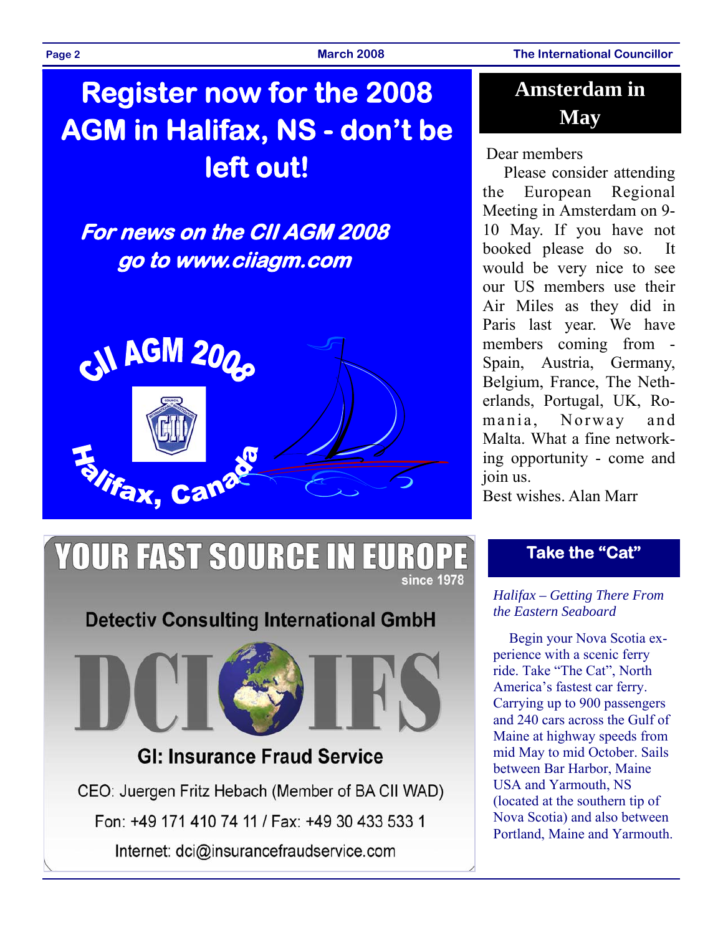**Page 2 March 2008 The International Councillor** 

# **Register now for the 2008 AGM in Halifax, NS - don't be left out!**

# **For news on the CII AGM 2008 go to www.ciiagm.com**



### **Amsterdam in May**

### Dear members

Please consider attending the European Regional Meeting in Amsterdam on 9- 10 May. If you have not booked please do so. It would be very nice to see our US members use their Air Miles as they did in Paris last year. We have members coming from - Spain, Austria, Germany, Belgium, France, The Netherlands, Portugal, UK, Romania, Norway and Malta. What a fine networking opportunity - come and join us.

Best wishes. Alan Marr

### **Take the "Cat"**

### *Halifax – Getting There From the Eastern Seaboard*

Begin your Nova Scotia experience with a scenic ferry ride. Take "The Cat", North America's fastest car ferry. Carrying up to 900 passengers and 240 cars across the Gulf of Maine at highway speeds from mid May to mid October. Sails between Bar Harbor, Maine USA and Yarmouth, NS (located at the southern tip of Nova Scotia) and also between Portland, Maine and Yarmouth.

### **YOUR FAST SOURCE IN EURO** since 1978

### **Detectiv Consulting International GmbH**



### **GI: Insurance Fraud Service**

CEO: Juergen Fritz Hebach (Member of BA CII WAD) Fon: +49 171 410 74 11 / Fax: +49 30 433 533 1 Internet: dci@insurancefraudservice.com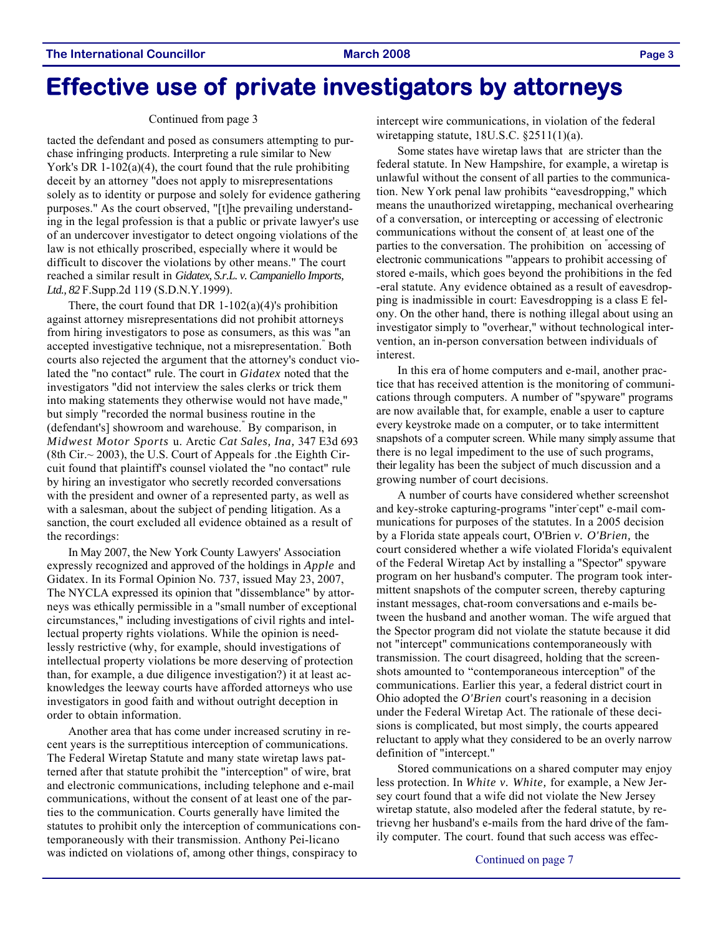# **Effective use of private investigators by attorneys**

#### Continued from page 3

tacted the defendant and posed as consumers attempting to purchase infringing products. Interpreting a rule similar to New York's DR 1-102(a)(4), the court found that the rule prohibiting deceit by an attorney "does not apply to misrepresentations solely as to identity or purpose and solely for evidence gathering purposes." As the court observed, "[t]he prevailing understanding in the legal profession is that a public or private lawyer's use of an undercover investigator to detect ongoing violations of the law is not ethically proscribed, especially where it would be difficult to discover the violations by other means." The court reached a similar result in *Gidatex, S.r.L. v. Campaniello Imports, Ltd., 82* F.Supp.2d 119 (S.D.N.Y.1999).

There, the court found that DR  $1-102(a)(4)$ 's prohibition against attorney misrepresentations did not prohibit attorneys from hiring investigators to pose as consumers, as this was "an accepted investigative technique, not a misrepresentation." Both courts also rejected the argument that the attorney's conduct violated the "no contact" rule. The court in *Gidatex* noted that the investigators "did not interview the sales clerks or trick them into making statements they otherwise would not have made," but simply "recorded the normal business routine in the (defendant's] showroom and warehouse." By comparison, in *Midwest Motor Sports* u. Arctic *Cat Sales, Ina,* 347 E3d 693 (8th Cir.~ 2003), the U.S. Court of Appeals for .the Eighth Circuit found that plaintiff's counsel violated the "no contact" rule by hiring an investigator who secretly recorded conversations with the president and owner of a represented party, as well as with a salesman, about the subject of pending litigation. As a sanction, the court excluded all evidence obtained as a result of the recordings:

In May 2007, the New York County Lawyers' Association expressly recognized and approved of the holdings in *Apple* and Gidatex. In its Formal Opinion No. 737, issued May 23, 2007, The NYCLA expressed its opinion that "dissemblance" by attorneys was ethically permissible in a "small number of exceptional circumstances," including investigations of civil rights and intellectual property rights violations. While the opinion is needlessly restrictive (why, for example, should investigations of intellectual property violations be more deserving of protection than, for example, a due diligence investigation?) it at least acknowledges the leeway courts have afforded attorneys who use investigators in good faith and without outright deception in order to obtain information.

Another area that has come under increased scrutiny in recent years is the surreptitious interception of communications. The Federal Wiretap Statute and many state wiretap laws patterned after that statute prohibit the "interception" of wire, brat and electronic communications, including telephone and e-mail communications, without the consent of at least one of the parties to the communication. Courts generally have limited the statutes to prohibit only the interception of communications contemporaneously with their transmission. Anthony Pei-licano was indicted on violations of, among other things, conspiracy to

intercept wire communications, in violation of the federal wiretapping statute, 18U.S.C. §2511(1)(a).

Some states have wiretap laws that are stricter than the federal statute. In New Hampshire, for example, a wiretap is unlawful without the consent of all parties to the communication. New York penal law prohibits "eavesdropping," which means the unauthorized wiretapping, mechanical overhearing of a conversation, or intercepting or accessing of electronic communications without the consent of. at least one of the parties to the conversation. The prohibition on " accessing of electronic communications "'appears to prohibit accessing of stored e-mails, which goes beyond the prohibitions in the fed -eral statute. Any evidence obtained as a result of eavesdropping is inadmissible in court: Eavesdropping is a class E felony. On the other hand, there is nothing illegal about using an investigator simply to "overhear," without technological intervention, an in-person conversation between individuals of interest.

In this era of home computers and e-mail, another practice that has received attention is the monitoring of communications through computers. A number of "spyware" programs are now available that, for example, enable a user to capture every keystroke made on a computer, or to take intermittent snapshots of a computer screen. While many simply assume that there is no legal impediment to the use of such programs, their legality has been the subject of much discussion and a growing number of court decisions.

A number of courts have considered whether screenshot and key-stroke capturing-programs "inter cept" e-mail communications for purposes of the statutes. In a 2005 decision by a Florida state appeals court, O'Brien *v. O'Brien,* the court considered whether a wife violated Florida's equivalent of the Federal Wiretap Act by installing a "Spector" spyware program on her husband's computer. The program took intermittent snapshots of the computer screen, thereby capturing instant messages, chat-room conversations and e-mails between the husband and another woman. The wife argued that the Spector program did not violate the statute because it did not "intercept" communications contemporaneously with transmission. The court disagreed, holding that the screenshots amounted to "contemporaneous interception" of the communications. Earlier this year, a federal district court in Ohio adopted the *O'Brien* court's reasoning in a decision under the Federal Wiretap Act. The rationale of these decisions is complicated, but most simply, the courts appeared reluctant to apply what they considered to be an overly narrow definition of "intercept."

Stored communications on a shared computer may enjoy less protection. In *White v. White,* for example, a New Jersey court found that a wife did not violate the New Jersey wiretap statute, also modeled after the federal statute, by retrievng her husband's e-mails from the hard drive of the family computer. The court. found that such access was effec-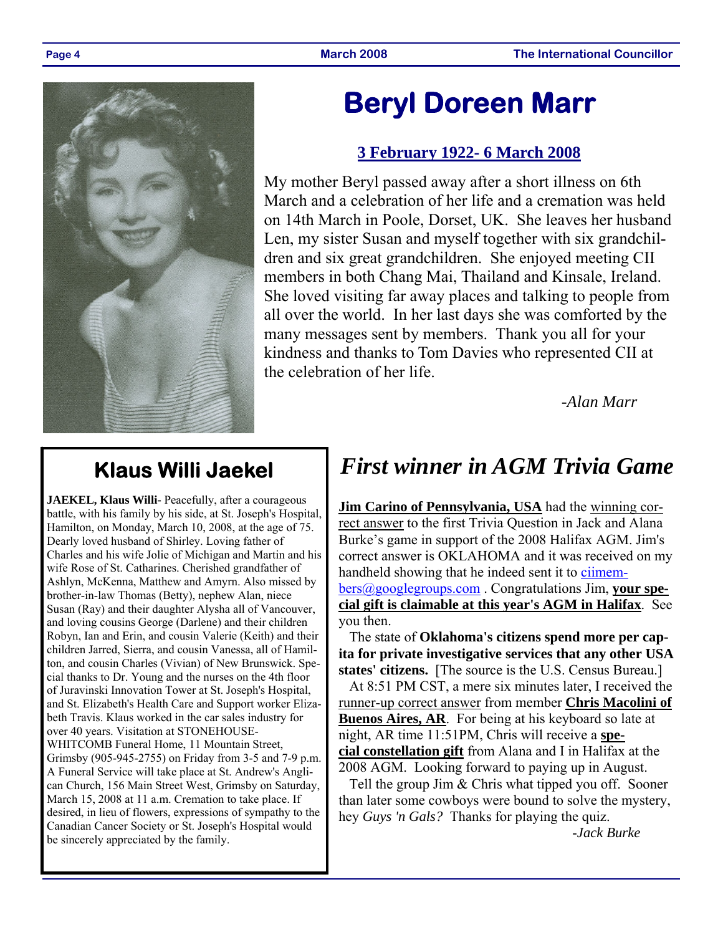

# **Beryl Doreen Marr**

### **3 February 1922- 6 March 2008**

My mother Beryl passed away after a short illness on 6th March and a celebration of her life and a cremation was held on 14th March in Poole, Dorset, UK. She leaves her husband Len, my sister Susan and myself together with six grandchildren and six great grandchildren. She enjoyed meeting CII members in both Chang Mai, Thailand and Kinsale, Ireland. She loved visiting far away places and talking to people from all over the world. In her last days she was comforted by the many messages sent by members. Thank you all for your kindness and thanks to Tom Davies who represented CII at the celebration of her life.

 *-Alan Marr* 

# **Klaus Willi Jaekel**

JAEKEL, Klaus Willi- Peacefully, after a courageous battle, with his family by his side, at St. Joseph's Hospital, Hamilton, on Monday, March 10, 2008, at the age of 75. Dearly loved husband of Shirley. Loving father of Charles and his wife Jolie of Michigan and Martin and his wife Rose of St. Catharines. Cherished grandfather of Ashlyn, McKenna, Matthew and Amyrn. Also missed by brother-in-law Thomas (Betty), nephew Alan, niece Susan (Ray) and their daughter Alysha all of Vancouver, and loving cousins George (Darlene) and their children Robyn, Ian and Erin, and cousin Valerie (Keith) and their children Jarred, Sierra, and cousin Vanessa, all of Hamilton, and cousin Charles (Vivian) of New Brunswick. Special thanks to Dr. Young and the nurses on the 4th floor of Juravinski Innovation Tower at St. Joseph's Hospital, and St. Elizabeth's Health Care and Support worker Elizabeth Travis. Klaus worked in the car sales industry for over 40 years. Visitation at STONEHOUSE-WHITCOMB Funeral Home, 11 Mountain Street, Grimsby (905-945-2755) on Friday from 3-5 and 7-9 p.m. A Funeral Service will take place at St. Andrew's Anglican Church, 156 Main Street West, Grimsby on Saturday, March 15, 2008 at 11 a.m. Cremation to take place. If desired, in lieu of flowers, expressions of sympathy to the Canadian Cancer Society or St. Joseph's Hospital would be sincerely appreciated by the family.

## *First winner in AGM Trivia Game*

**Jim Carino of Pennsylvania, USA** had the winning correct answer to the first Trivia Question in Jack and Alana Burke's game in support of the 2008 Halifax AGM. Jim's correct answer is OKLAHOMA and it was received on my handheld showing that he indeed sent it to ciimembers@googlegroups.com . Congratulations Jim, **your special gift is claimable at this year's AGM in Halifax**. See you then.

 The state of **Oklahoma's citizens spend more per capita for private investigative services that any other USA states' citizens.** [The source is the U.S. Census Bureau.]

 At 8:51 PM CST, a mere six minutes later, I received the runner-up correct answer from member **Chris Macolini of Buenos Aires, AR**. For being at his keyboard so late at night, AR time 11:51PM, Chris will receive a **special constellation gift** from Alana and I in Halifax at the 2008 AGM. Looking forward to paying up in August.

 Tell the group Jim & Chris what tipped you off. Sooner than later some cowboys were bound to solve the mystery, hey *Guys 'n Gals?* Thanks for playing the quiz.

-*Jack Burke*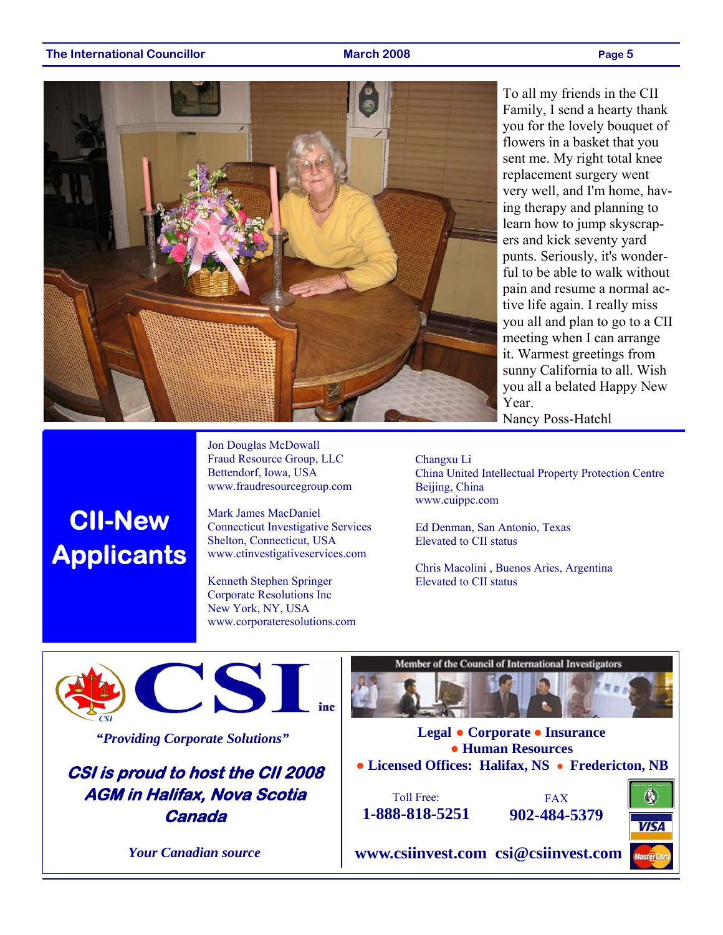**CII-New** 

**Applicants** 



Jon Douglas McDowall Fraud Resource Group, LLC Bettendorf, Iowa, USA www.fraudresourcegroup.com

Mark James MacDaniel

Kenneth Stephen Springer Corporate Resolutions Inc New York, NY, USA

www.corporateresolutions.com

Connecticut Investigative Services Shelton, Connecticut, USA www.ctinvestigativeservices.com

To all my friends in the CII Family, I send a hearty thank you for the lovely bouquet of flowers in a basket that you sent me. My right total knee replacement surgery went very well, and I'm home, having therapy and planning to learn how to jump skyscrapers and kick seventy yard punts. Seriously, it's wonderful to be able to walk without pain and resume a normal active life again. I really miss you all and plan to go to a CII meeting when I can arrange it. Warmest greetings from sunny California to all. Wish you all a belated Happy New Year. Nancy Poss-Hatchl

Changxu Li

China United Intellectual Property Protection Centre Beijing, China www.cuippc.com

Ed Denman, San Antonio, Texas Elevated to CII status

Chris Macolini , Buenos Aries, Argentina Elevated to CII status



*"Providing Corporate Solutions"* 

**CSI is proud to host the CII 2008 AGM in Halifax, Nova Scotia Canada** 

*Your Canadian source* 

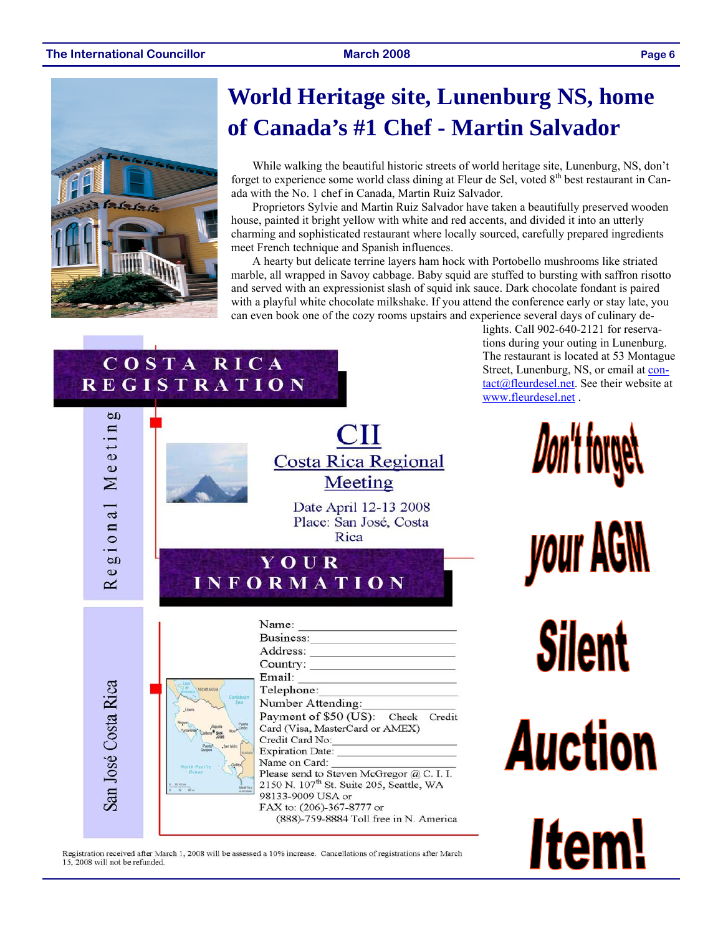#### **The International Councillor March 2008 Page 6**



COSTA RICA **REGISTRATION** 

# **World Heritage site, Lunenburg NS, home of Canada's #1 Chef - Martin Salvador**

While walking the beautiful historic streets of world heritage site, Lunenburg, NS, don't forget to experience some world class dining at Fleur de Sel, voted 8<sup>th</sup> best restaurant in Canada with the No. 1 chef in Canada, Martin Ruiz Salvador.

Proprietors Sylvie and Martin Ruiz Salvador have taken a beautifully preserved wooden house, painted it bright yellow with white and red accents, and divided it into an utterly charming and sophisticated restaurant where locally sourced, carefully prepared ingredients meet French technique and Spanish influences.

A hearty but delicate terrine layers ham hock with Portobello mushrooms like striated marble, all wrapped in Savoy cabbage. Baby squid are stuffed to bursting with saffron risotto and served with an expressionist slash of squid ink sauce. Dark chocolate fondant is paired with a playful white chocolate milkshake. If you attend the conference early or stay late, you can even book one of the cozy rooms upstairs and experience several days of culinary de-

> lights. Call 902-640-2121 for reservations during your outing in Lunenburg. The restaurant is located at 53 Montague Street, Lunenburg, NS, or email at contact@fleurdesel.net. See their website at www.fleurdesel.net .



Registration received after March 1, 2008 will be assessed a 10% increase. Cancellations of registrations after March 15, 2008 will not be refunded.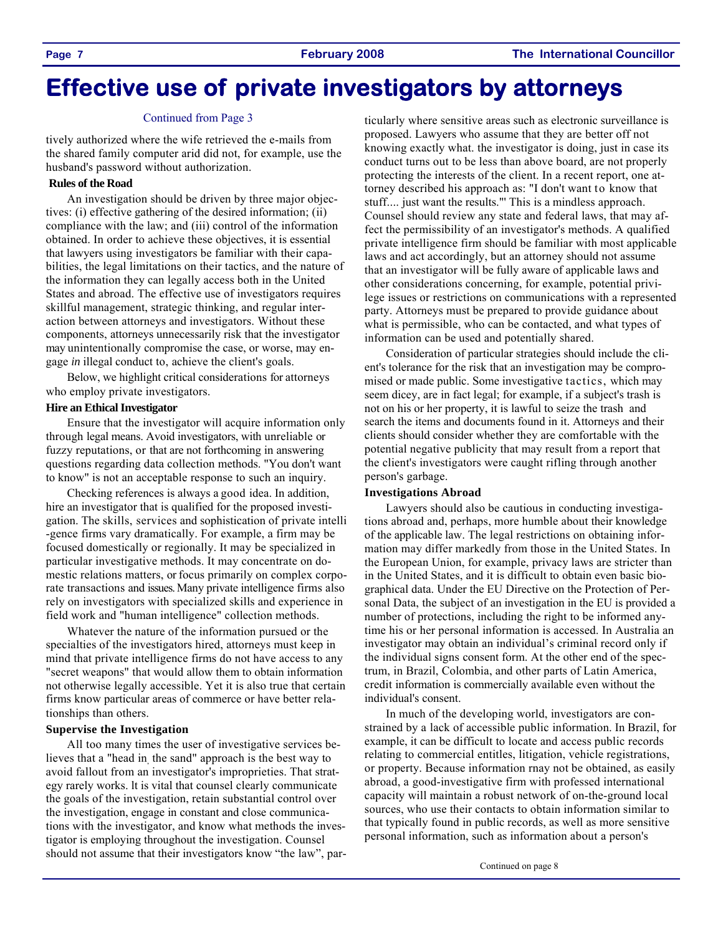# **Effective use of private investigators by attorneys**

#### Continued from Page 3

tively authorized where the wife retrieved the e-mails from the shared family computer arid did not, for example, use the husband's password without authorization.

#### **Rules of the Road**

An investigation should be driven by three major objectives: (i) effective gathering of the desired information; (ii) compliance with the law; and (iii) control of the information obtained. In order to achieve these objectives, it is essential that lawyers using investigators be familiar with their capabilities, the legal limitations on their tactics, and the nature of the information they can legally access both in the United States and abroad. The effective use of investigators requires skillful management, strategic thinking, and regular interaction between attorneys and investigators. Without these components, attorneys unnecessarily risk that the investigator may unintentionally compromise the case, or worse, may engage *in* illegal conduct to, achieve the client's goals.

Below, we highlight critical considerations for attorneys who employ private investigators.

#### **Hire an Ethical Investigator**

Ensure that the investigator will acquire information only through legal means. Avoid investigators, with unreliable or fuzzy reputations, or that are not forthcoming in answering questions regarding data collection methods. "You don't want to know" is not an acceptable response to such an inquiry.

Checking references is always a good idea. In addition, hire an investigator that is qualified for the proposed investigation. The skills, services and sophistication of private intelli -gence firms vary dramatically. For example, a firm may be focused domestically or regionally. It may be specialized in particular investigative methods. It may concentrate on domestic relations matters, or focus primarily on complex corporate transactions and issues. Many private intelligence firms also rely on investigators with specialized skills and experience in field work and "human intelligence" collection methods.

Whatever the nature of the information pursued or the specialties of the investigators hired, attorneys must keep in mind that private intelligence firms do not have access to any "secret weapons" that would allow them to obtain information not otherwise legally accessible. Yet it is also true that certain firms know particular areas of commerce or have better relationships than others.

#### **Supervise the Investigation**

All too many times the user of investigative services believes that a "head in, the sand" approach is the best way to avoid fallout from an investigator's improprieties. That strategy rarely works. lt is vital that counsel clearly communicate the goals of the investigation, retain substantial control over the investigation, engage in constant and close communications with the investigator, and know what methods the investigator is employing throughout the investigation. Counsel should not assume that their investigators know "the law", particularly where sensitive areas such as electronic surveillance is proposed. Lawyers who assume that they are better off not knowing exactly what. the investigator is doing, just in case its conduct turns out to be less than above board, are not properly protecting the interests of the client. In a recent report, one attorney described his approach as: "I don't want to know that stuff.... just want the results."' This is a mindless approach. Counsel should review any state and federal laws, that may affect the permissibility of an investigator's methods. A qualified private intelligence firm should be familiar with most applicable laws and act accordingly, but an attorney should not assume that an investigator will be fully aware of applicable laws and other considerations concerning, for example, potential privilege issues or restrictions on communications with a represented party. Attorneys must be prepared to provide guidance about what is permissible, who can be contacted, and what types of information can be used and potentially shared.

Consideration of particular strategies should include the client's tolerance for the risk that an investigation may be compromised or made public. Some investigative tactics, which may seem dicey, are in fact legal; for example, if a subject's trash is not on his or her property, it is lawful to seize the trash and search the items and documents found in it. Attorneys and their clients should consider whether they are comfortable with the potential negative publicity that may result from a report that the client's investigators were caught rifling through another person's garbage.

#### **Investigations Abroad**

Lawyers should also be cautious in conducting investigations abroad and, perhaps, more humble about their knowledge of the applicable law. The legal restrictions on obtaining information may differ markedly from those in the United States. In the European Union, for example, privacy laws are stricter than in the United States, and it is difficult to obtain even basic biographical data. Under the EU Directive on the Protection of Personal Data, the subject of an investigation in the EU is provided a number of protections, including the right to be informed anytime his or her personal information is accessed. In Australia an investigator may obtain an individual's criminal record only if the individual signs consent form. At the other end of the spectrum, in Brazil, Colombia, and other parts of Latin America, credit information is commercially available even without the individual's consent.

In much of the developing world, investigators are constrained by a lack of accessible public information. In Brazil, for example, it can be difficult to locate and access public records relating to commercial entitles, litigation, vehicle registrations, or property. Because information rnay not be obtained, as easily abroad, a good-investigative firm with professed international capacity will maintain a robust network of on-the-ground local sources, who use their contacts to obtain information similar to that typically found in public records, as well as more sensitive personal information, such as information about a person's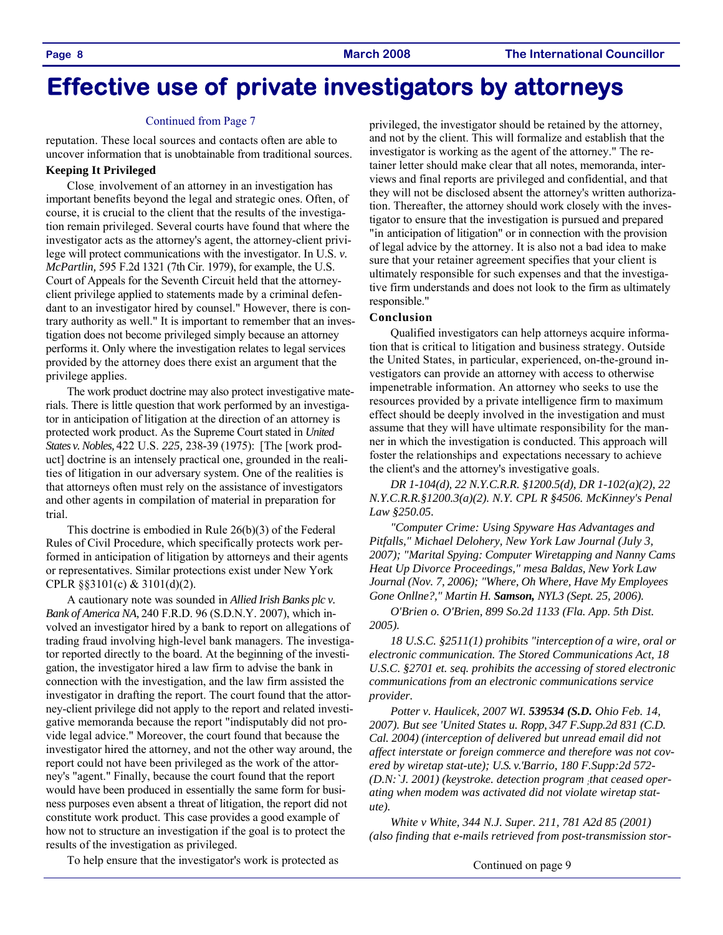# **Effective use of private investigators by attorneys**

#### Continued from Page 7

reputation. These local sources and contacts often are able to uncover information that is unobtainable from traditional sources.

#### **Keeping It Privileged**

Close. involvement of an attorney in an investigation has important benefits beyond the legal and strategic ones. Often, of course, it is crucial to the client that the results of the investigation remain privileged. Several courts have found that where the investigator acts as the attorney's agent, the attorney-client privilege will protect communications with the investigator. In U.S. *v. McPartlin,* 595 F.2d 1321 (7th Cir. 1979), for example, the U.S. Court of Appeals for the Seventh Circuit held that the attorneyclient privilege applied to statements made by a criminal defendant to an investigator hired by counsel." However, there is contrary authority as well." It is important to remember that an investigation does not become privileged simply because an attorney performs it. Only where the investigation relates to legal services provided by the attorney does there exist an argument that the privilege applies.

The work product doctrine may also protect investigative materials. There is little question that work performed by an investigator in anticipation of litigation at the direction of an attorney is protected work product. As the Supreme Court stated in *United States v. Nobles,* 422 U.S. *225,* 238-39 (1975): [The [work product] doctrine is an intensely practical one, grounded in the realities of litigation in our adversary system. One of the realities is that attorneys often must rely on the assistance of investigators and other agents in compilation of material in preparation for trial.

This doctrine is embodied in Rule 26(b)(3) of the Federal Rules of Civil Procedure, which specifically protects work performed in anticipation of litigation by attorneys and their agents or representatives. Similar protections exist under New York CPLR §§3101(c) & 3101(d)(2).

A cautionary note was sounded in *Allied Irish Banks plc v. Bank of America NA,* 240 F.R.D. 96 (S.D.N.Y. 2007), which involved an investigator hired by a bank to report on allegations of trading fraud involving high-level bank managers. The investigator reported directly to the board. At the beginning of the investigation, the investigator hired a law firm to advise the bank in connection with the investigation, and the law firm assisted the investigator in drafting the report. The court found that the attorney-client privilege did not apply to the report and related investigative memoranda because the report "indisputably did not provide legal advice." Moreover, the court found that because the investigator hired the attorney, and not the other way around, the report could not have been privileged as the work of the attorney's "agent." Finally, because the court found that the report would have been produced in essentially the same form for business purposes even absent a threat of litigation, the report did not constitute work product. This case provides a good example of how not to structure an investigation if the goal is to protect the results of the investigation as privileged.

privileged, the investigator should be retained by the attorney, and not by the client. This will formalize and establish that the investigator is working as the agent of the attorney." The retainer letter should make clear that all notes, memoranda, interviews and final reports are privileged and confidential, and that they will not be disclosed absent the attorney's written authorization. Thereafter, the attorney should work closely with the investigator to ensure that the investigation is pursued and prepared "in anticipation of litigation" or in connection with the provision of legal advice by the attorney. It is also not a bad idea to make sure that your retainer agreement specifies that your client is ultimately responsible for such expenses and that the investigative firm understands and does not look to the firm as ultimately responsible."

### **Conclusion**

Qualified investigators can help attorneys acquire information that is critical to litigation and business strategy. Outside the United States, in particular, experienced, on-the-ground investigators can provide an attorney with access to otherwise impenetrable information. An attorney who seeks to use the resources provided by a private intelligence firm to maximum effect should be deeply involved in the investigation and must assume that they will have ultimate responsibility for the manner in which the investigation is conducted. This approach will foster the relationships and expectations necessary to achieve the client's and the attorney's investigative goals.

*DR 1-104(d), 22 N.Y.C.R.R. §1200.5(d), DR 1-102(a)(2), 22 N.Y.C.R.R.§1200.3(a)(2). N.Y. CPL R §4506. McKinney's Penal Law §250.05.* 

*"Computer Crime: Using Spyware Has Advantages and Pitfalls," Michael Delohery, New York Law Journal (July 3, 2007); "Marital Spying: Computer Wiretapping and Nanny Cams Heat Up Divorce Proceedings," mesa Baldas, New York Law Journal (Nov. 7, 2006); "Where, Oh Where, Have My Employees Gone Onllne?," Martin H. Samson, NYL3 (Sept. 25, 2006).* 

*O'Brien o. O'Brien, 899 So.2d 1133 (Fla. App. 5th Dist. 2005).* 

*18 U.S.C. §2511(1) prohibits "interception of a wire, oral or electronic communication. The Stored Communications Act, 18 U.S.C. §2701 et. seq. prohibits the accessing of stored electronic communications from an electronic communications service provider.* 

*Potter v. Haulicek, 2007 WI. 539534 (S.D. Ohio Feb. 14, 2007). But see 'United States u. Ropp, 347 F.Supp.2d 831 (C.D. Cal. 2004) (interception of delivered but unread email did not affect interstate or foreign commerce and therefore was not covered by wiretap stat-ute); U.S. v.'Barrio, 180 F.Supp:2d 572- (D.N:`J. 2001) (keystroke. detection program ;that ceased operating when modem was activated did not violate wiretap statute).* 

*White v White, 344 N.J. Super. 211, 781 A2d 85 (2001) (also finding that e-mails retrieved from post-transmission stor-*

Continued on page 9

To help ensure that the investigator's work is protected as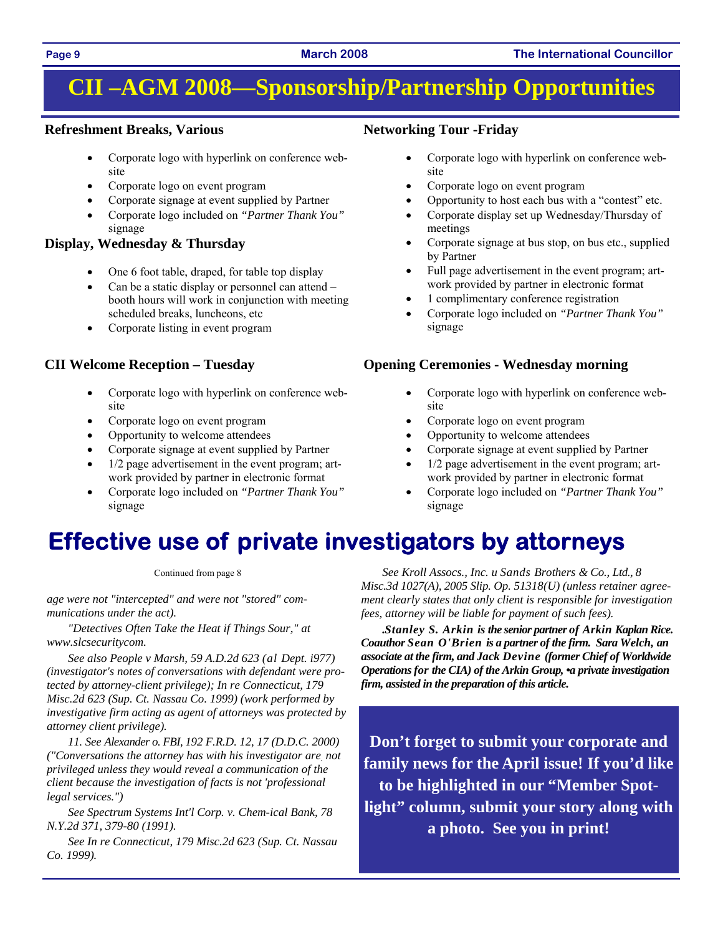# **CII –AGM 2008—Sponsorship/Partnership Opportunities**

### **Refreshment Breaks, Various**

- Corporate logo with hyperlink on conference website
- Corporate logo on event program
- Corporate signage at event supplied by Partner
- Corporate logo included on *"Partner Thank You"*  signage

### **Display, Wednesday & Thursday**

- One 6 foot table, draped, for table top display
- Can be a static display or personnel can attend  $$ booth hours will work in conjunction with meeting scheduled breaks, luncheons, etc
- Corporate listing in event program

### **CII Welcome Reception – Tuesday**

- Corporate logo with hyperlink on conference website
- Corporate logo on event program
- Opportunity to welcome attendees
- Corporate signage at event supplied by Partner
- $1/2$  page advertisement in the event program; artwork provided by partner in electronic format
- Corporate logo included on *"Partner Thank You"*  signage

### **Networking Tour -Friday**

- Corporate logo with hyperlink on conference website
- Corporate logo on event program
- Opportunity to host each bus with a "contest" etc.
- Corporate display set up Wednesday/Thursday of meetings
- Corporate signage at bus stop, on bus etc., supplied by Partner
- Full page advertisement in the event program; artwork provided by partner in electronic format
- 1 complimentary conference registration
- Corporate logo included on *"Partner Thank You"*  signage

### **Opening Ceremonies - Wednesday morning**

- Corporate logo with hyperlink on conference website
- Corporate logo on event program
- Opportunity to welcome attendees
- Corporate signage at event supplied by Partner
- $1/2$  page advertisement in the event program; artwork provided by partner in electronic format
- Corporate logo included on *"Partner Thank You"*  signage

# **Effective use of private investigators by attorneys**

Continued from page 8

*age were not "intercepted" and were not "stored" communications under the act).* 

*"Detectives Often Take the Heat if Things Sour," at www.slcsecuritycom.* 

*See also People v Marsh, 59 A.D.2d 623 (al Dept. i977) (investigator's notes of conversations with defendant were protected by attorney-client privilege); In re Connecticut, 179 Misc.2d 623 (Sup. Ct. Nassau Co. 1999) (work performed by investigative firm acting as agent of attorneys was protected by attorney client privilege).* 

*11. See Alexander o. FBI, 192 F.R.D. 12, 17 (D.D.C. 2000) ("Conversations the attorney has with his investigator are. not privileged unless they would reveal a communication of the client because the investigation of facts is not 'professional legal services.")* 

*See Spectrum Systems Int'l Corp. v. Chem-ical Bank, 78 N.Y.2d 371, 379-80 (1991).* 

*See In re Connecticut, 179 Misc.2d 623 (Sup. Ct. Nassau Co. 1999).* 

*See Kroll Assocs., Inc. u Sands Brothers & Co., Ltd., 8 Misc.3d 1027(A), 2005 Slip. Op. 51318(U) (unless retainer agreement clearly states that only client is responsible for investigation fees, attorney will be liable for payment of such fees).* 

*.Stanley S. Arkin is the senior partner of Arkin Kaplan Rice. Coauthor Sean O'Brien is a partner of the firm. Sara Welch, an associate at the firm, and Jack Devine (former Chief of Worldwide Operations for the CIA) of the Arkin Group, •a private investigation firm, assisted in the preparation of this article.* 

**Don't forget to submit your corporate and family news for the April issue! If you'd like to be highlighted in our "Member Spotlight" column, submit your story along with a photo. See you in print!** 

### **Page 9 March 2008 The International Councillor**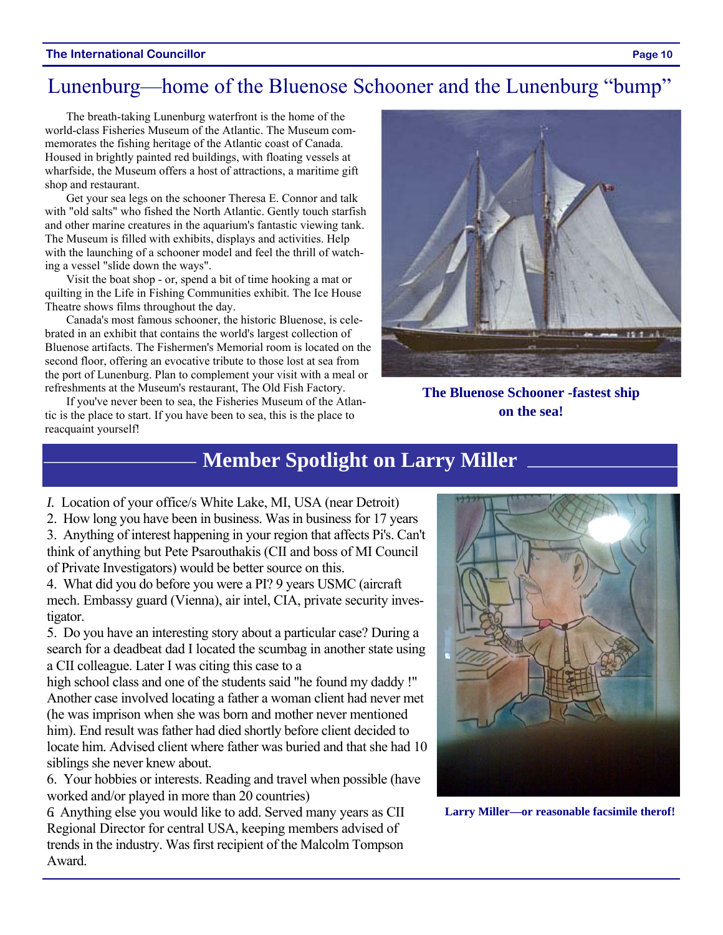#### **The International Councillor Page 10**

### Lunenburg—home of the Bluenose Schooner and the Lunenburg "bump"

The breath-taking Lunenburg waterfront is the home of the world-class Fisheries Museum of the Atlantic. The Museum commemorates the fishing heritage of the Atlantic coast of Canada. Housed in brightly painted red buildings, with floating vessels at wharfside, the Museum offers a host of attractions, a maritime gift shop and restaurant.

Get your sea legs on the schooner Theresa E. Connor and talk with "old salts" who fished the North Atlantic. Gently touch starfish and other marine creatures in the aquarium's fantastic viewing tank. The Museum is filled with exhibits, displays and activities. Help with the launching of a schooner model and feel the thrill of watching a vessel "slide down the ways".

Visit the boat shop - or, spend a bit of time hooking a mat or quilting in the Life in Fishing Communities exhibit. The Ice House Theatre shows films throughout the day.

Canada's most famous schooner, the historic Bluenose, is celebrated in an exhibit that contains the world's largest collection of Bluenose artifacts. The Fishermen's Memorial room is located on the second floor, offering an evocative tribute to those lost at sea from the port of Lunenburg. Plan to complement your visit with a meal or refreshments at the Museum's restaurant, The Old Fish Factory.

If you've never been to sea, the Fisheries Museum of the Atlantic is the place to start. If you have been to sea, this is the place to reacquaint yourself!



**The Bluenose Schooner -fastest ship on the sea!** 

### **Member Spotlight on Larry Miller**

*I.* Location of your office/s White Lake, MI, USA (near Detroit)

2. How long you have been in business. Was in business for 17 years 3. Anything of interest happening in your region that affects Pi's. Can't think of anything but Pete Psarouthakis (CII and boss of MI Council of Private Investigators) would be better source on this.

4. What did you do before you were a PI? 9 years USMC (aircraft mech. Embassy guard (Vienna), air intel, CIA, private security investigator.

5. Do you have an interesting story about a particular case? During a search for a deadbeat dad I located the scumbag in another state using a CII colleague. Later I was citing this case to a

high school class and one of the students said "he found my daddy !" Another case involved locating a father a woman client had never met (he was imprison when she was born and mother never mentioned him). End result was father had died shortly before client decided to locate him. Advised client where father was buried and that she had 10 siblings she never knew about.

6. Your hobbies or interests. Reading and travel when possible (have worked and/or played in more than 20 countries)

*6.* Anything else you would like to add. Served many years as CII Regional Director for central USA, keeping members advised of trends in the industry. Was first recipient of the Malcolm Tompson Award.



**Larry Miller—or reasonable facsimile therof!**